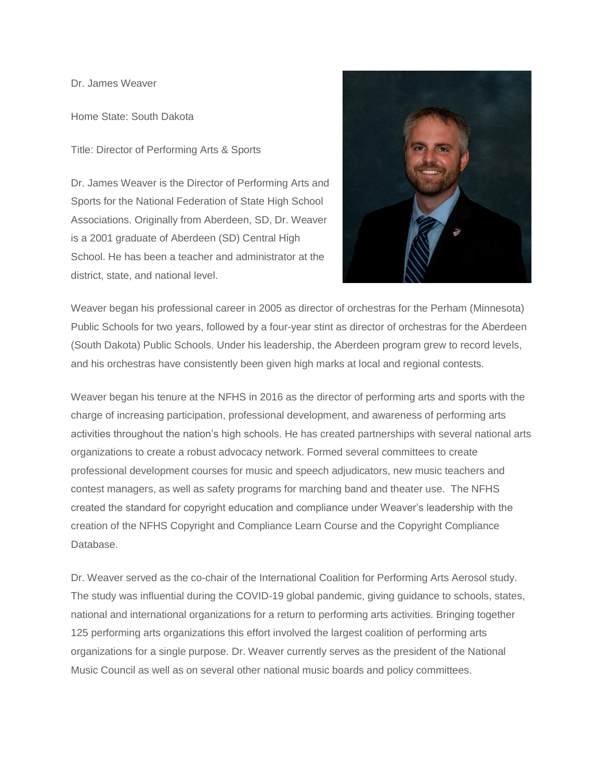Dr. James Weaver

Home State: South Dakota

Title: Director of Performing Arts & Sports

Dr. James Weaver is the Director of Performing Arts and Sports for the National Federation of State High School Associations. Originally from Aberdeen, SD, Dr. Weaver is a 2001 graduate of Aberdeen (SD) Central High School. He has been a teacher and administrator at the district, state, and national level.



Weaver began his professional career in 2005 as director of orchestras for the Perham (Minnesota) Public Schools for two years, followed by a four-year stint as director of orchestras for the Aberdeen (South Dakota) Public Schools. Under his leadership, the Aberdeen program grew to record levels, and his orchestras have consistently been given high marks at local and regional contests.

Weaver began his tenure at the NFHS in 2016 as the director of performing arts and sports with the charge of increasing participation, professional development, and awareness of performing arts activities throughout the nation's high schools. He has created partnerships with several national arts organizations to create a robust advocacy network. Formed several committees to create professional development courses for music and speech adjudicators, new music teachers and contest managers, as well as safety programs for marching band and theater use. The NFHS created the standard for copyright education and compliance under Weaver's leadership with the creation of the NFHS Copyright and Compliance Learn Course and the Copyright Compliance Database.

Dr. Weaver served as the co-chair of the International Coalition for Performing Arts Aerosol study. The study was influential during the COVID-19 global pandemic, giving guidance to schools, states, national and international organizations for a return to performing arts activities. Bringing together 125 performing arts organizations this effort involved the largest coalition of performing arts organizations for a single purpose. Dr. Weaver currently serves as the president of the National Music Council as well as on several other national music boards and policy committees.